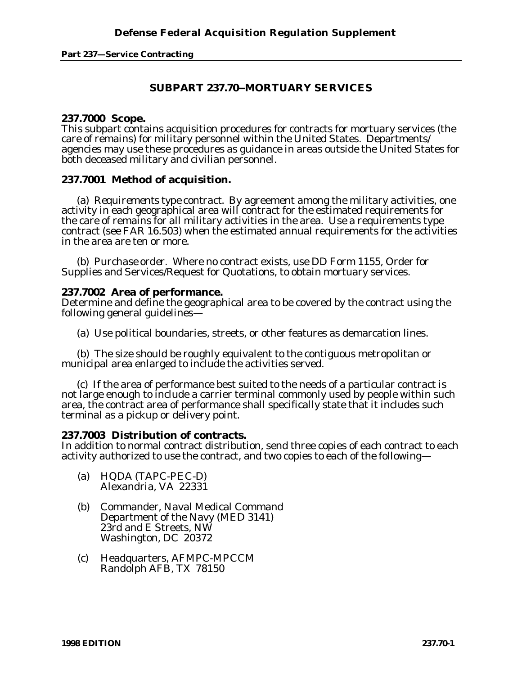# **SUBPART 237.70--MORTUARY SERVICES**

### **237.7000 Scope.**

This subpart contains acquisition procedures for contracts for mortuary services (the care of remains) for military personnel within the United States. Departments/ agencies may use these procedures as guidance in areas outside the United States for both deceased military and civilian personnel.

## **237.7001 Method of acquisition.**

(a) *Requirements type contract.* By agreement among the military activities, one activity in each geographical area will contract for the estimated requirements for the care of remains for all military activities in the area. Use a requirements type contract (see FAR 16.503) when the estimated annual requirements for the activities in the area are ten or more.

(b) *Purchase order.* Where no contract exists, use DD Form 1155, Order for Supplies and Services/Request for Quotations, to obtain mortuary services.

### **237.7002 Area of performance.**

Determine and define the geographical area to be covered by the contract using the following general guidelines—

(a) Use political boundaries, streets, or other features as demarcation lines.

(b) The size should be roughly equivalent to the contiguous metropolitan or municipal area enlarged to include the activities served.

(c) If the area of performance best suited to the needs of a particular contract is not large enough to include a carrier terminal commonly used by people within such area, the contract area of performance shall specifically state that it includes such terminal as a pickup or delivery point.

## **237.7003 Distribution of contracts.**

In addition to normal contract distribution, send three copies of each contract to each activity authorized to use the contract, and two copies to each of the following—

- (a) HQDA (TAPC-PEC-D) Alexandria, VA 22331
- (b) Commander, Naval Medical Command Department of the Navy (MED 3141) 23rd and E Streets, NW Washington, DC 20372
- (c) Headquarters, AFMPC-MPCCM Randolph AFB, TX 78150